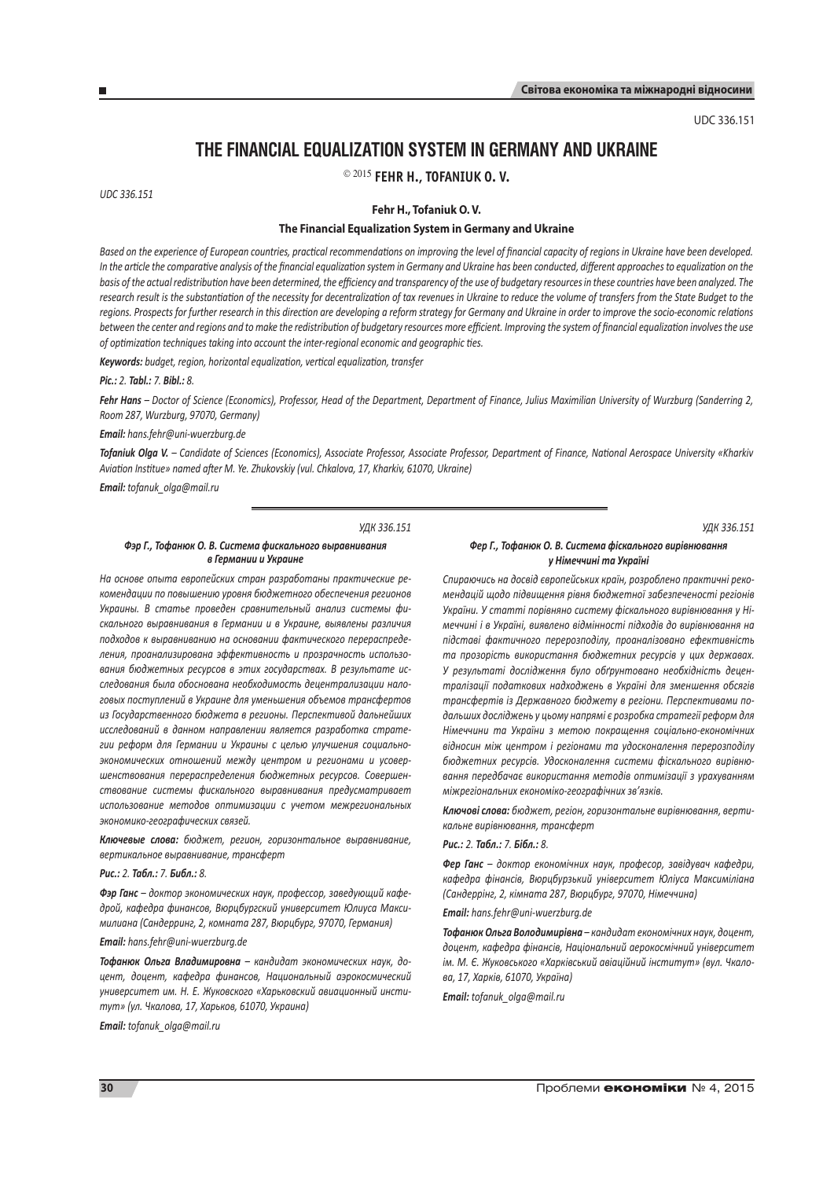UDC 336.151

# **The Financial Equalization System in Germany and Ukraine**

2015 **Fehr H., Tofaniuk O. V.**

*UDC 336.151*

**Fehr H., Tofaniuk O. V.**

# **The Financial Equalization System in Germany and Ukraine**

*Based on the experience of European countries, practical recommendations on improving the level of financial capacity of regions in Ukraine have been developed. In the article the comparative analysis of the financial equalization system in Germany and Ukraine has been conducted, different approaches to equalization on the basis of the actual redistribution have been determined, the efficiency and transparency of the use of budgetary resources in these countries have been analyzed. The research result is the substantiation of the necessity for decentralization of tax revenues in Ukraine to reduce the volume of transfers from the State Budget to the regions. Prospects for further research in this direction are developing a reform strategy for Germany and Ukraine in order to improve the socio-economic relations between the center and regions and to make the redistribution of budgetary resources more efficient. Improving the system of financial equalization involves the use of optimization techniques taking into account the inter-regional economic and geographic ties.*

*Keywords: budget, region, horizontal equalization, vertical equalization, transfer*

#### *Pic.: 2. Tabl.: 7. Bibl.: 8.*

*Fehr Hans – Doctor of Science (Economics), Professor, Head of the Department, Department of Finance, Julius Maximilian University of Wurzburg (Sanderring 2, Room 287, Wurzburg, 97070, Germany)*

*Email: hans.fehr@uni-wuerzburg.de*

*Tofaniuk Olga V. – Candidate of Sciences (Economics), Associate Professor, Associate Professor, Department of Finance, National Aerospace University «Kharkiv Aviation Institue» named after M. Ye. Zhukovskiy (vul. Chkalova, 17, Kharkіv, 61070, Ukraine)*

*Email: tofanuk\_olga@mail.ru*

#### *УДК 336.151*

### *Фэр Г., Тофанюк О. В. Система фискального выравнивания в Германии и Украине*

*На основе опыта европейских стран разработаны практические рекомендации по повышению уровня бюджетного обеспечения регионов Украины. В статье проведен сравнительный анализ системы фискального выравнивания в Германии и в Украине, выявлены различия подходов к выравниванию на основании фактического перераспределения, проанализирована эффективность и прозрачность использования бюджетных ресурсов в этих государствах. В результате исследования была обоснована необходимость децентрализации налоговых поступлений в Украине для уменьшения объемов трансфертов из Государственного бюджета в регионы. Перспективой дальнейших исследований в данном направлении является разработка стратегии реформ для Германии и Украины с целью улучшения социальноэкономических отношений между центром и регионами и усовершенствования перераспределения бюджетных ресурсов. Совершенствование системы фискального выравнивания предусматривает использование методов оптимизации с учетом межрегиональных экономико-географических связей.*

*Ключевые слова: бюджет, регион, горизонтальное выравнивание, вертикальное выравнивание, трансферт*

#### *Рис.: 2. Табл.: 7. Библ.: 8.*

*Фэр Ганс – доктор экономических наук, профессор, заведующий кафедрой, кафедра финансов, Вюрцбургский университет Юлиуса Максимилиана (Сандерринг, 2, комната 287, Вюрцбург, 97070, Германия)*

### *Email: hans.fehr@uni-wuerzburg.de*

*Тофанюк Ольга Владимировна – кандидат экономических наук, доцент, доцент, кафедра финансов, Национальный аэрокосмический университет им. Н. Е. Жуковского «Харьковский авиационный институт» (ул. Чкалова, 17, Харьков, 61070, Украина)*

*Email: tofanuk\_olga@mail.ru*

*УДК 336.151*

# *Фер Г., Тофанюк О. В. Система фіскального вирівнювання у Німеччині та Україні*

*Спираючись на досвід європейських країн, розроблено практичні рекомендацій щодо підвищення рівня бюджетної забезпеченості регіонів України. У статті порівняно систему фіскального вирівнювання у Німеччині і в Україні, виявлено відмінності підходів до вирівнювання на підставі фактичного перерозподілу, проаналізовано ефективність та прозорість використання бюджетних ресурсів у цих державах. У результаті дослідження було обґрунтовано необхідність децентралізації податкових надходжень в Україні для зменшення обсягів трансфертів із Державного бюджету в регіони. Перспективами подальших досліджень у цьому напрямі є розробка стратегії реформ для Німеччини та України з метою покращення соціально-економічних відносин між центром і регіонами та удосконалення перерозподілу бюджетних ресурсів. Удосконалення системи фіскального вирівнювання передбачає використання методів оптимізації з урахуванням міжрегіональних економіко-географічних зв'язків.*

*Ключові слова: бюджет, регіон, горизонтальне вирівнювання, вертикальне вирівнювання, трансферт*

#### *Рис.: 2. Табл.: 7. Бібл.: 8.*

*Фер Ганс – доктор економічних наук, професор, завідувач кафедри, кафедра фінансів, Вюрцбурзький університет Юліуса Максиміліана (Сандеррінг, 2, кімната 287, Вюрцбург, 97070, Німеччина)*

## *Email: hans.fehr@uni-wuerzburg.de*

*Тофанюк Ольга Володимирівна – кандидат економічних наук, доцент, доцент, кафедра фінансів, Національний аерокосмічний університет ім. М. Є. Жуковського «Харківський авіаційний інститут» (вул. Чкалова, 17, Харків, 61070, Україна)*

*Email: tofanuk\_olga@mail.ru*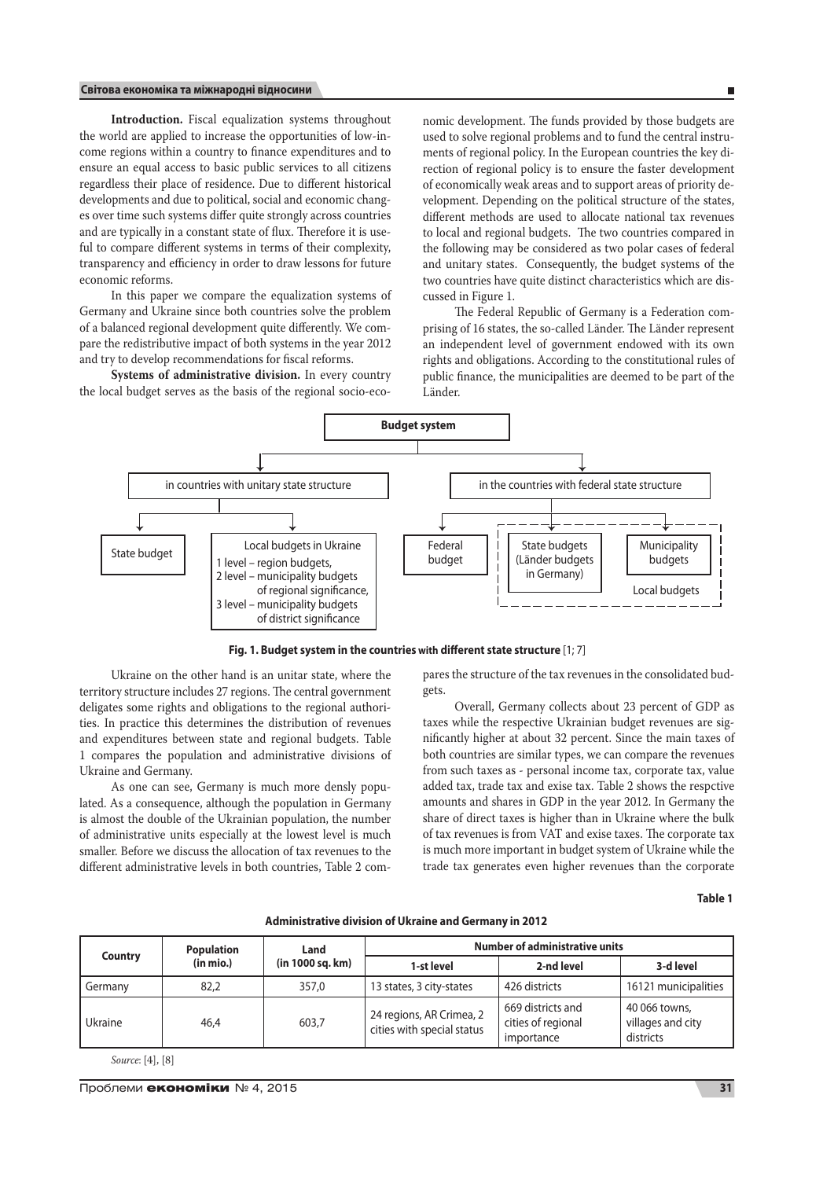# **Світова економіка та міжнародні відносини**

 $\overline{\phantom{a}}$ 

**Introduction.** Fiscal equalization systems throughout the world are applied to increase the opportunities of low-income regions within a country to finance expenditures and to ensure an equal access to basic public services to all citizens regardless their place of residence. Due to different historical developments and due to political, social and economic changes over time such systems differ quite strongly across countries and are typically in a constant state of flux. Therefore it is useful to compare different systems in terms of their complexity, transparency and efficiency in order to draw lessons for future economic reforms.

In this paper we compare the equalization systems of Germany and Ukraine since both countries solve the problem of a balanced regional development quite differently. We compare the redistributive impact of both systems in the year 2012 and try to develop recommendations for fiscal reforms.

**Systems of administrative division.** In every country the local budget serves as the basis of the regional socio-economic development. The funds provided by those budgets are used to solve regional problems and to fund the central instruments of regional policy. In the European countries the key direction of regional policy is to ensure the faster development of economically weak areas and to support areas of priority development. Depending on the political structure of the states, different methods are used to allocate national tax revenues to local and regional budgets. The two countries compared in the following may be considered as two polar cases of federal and unitary states. Consequently, the budget systems of the two countries have quite distinct characteristics which are discussed in Figure 1.

The Federal Republic of Germany is a Federation comprising of 16 states, the so-called Länder. The Länder represent an independent level of government endowed with its own rights and obligations. According to the constitutional rules of public finance, the municipalities are deemed to be part of the Länder.



**Fig. 1. Budget system in the countries with different state structure** [1; 7]

Ukraine on the other hand is an unitar state, where the territory structure includes 27 regions. The central government deligates some rights and obligations to the regional authorities. In practice this determines the distribution of revenues and expenditures between state and regional budgets. Table 1 compares the population and administrative divisions of Ukraine and Germany.

As one can see, Germany is much more densly populated. As a consequence, although the population in Germany is almost the double of the Ukrainian population, the number of administrative units especially at the lowest level is much smaller. Before we discuss the allocation of tax revenues to the different administrative levels in both countries, Table 2 compares the structure of the tax revenues in the consolidated budgets.

Overall, Germany collects about 23 percent of GDP as taxes while the respective Ukrainian budget revenues are significantly higher at about 32 percent. Since the main taxes of both countries are similar types, we can compare the revenues from such taxes as - personal income tax, corporate tax, value added tax, trade tax and exise tax. Table 2 shows the respctive amounts and shares in GDP in the year 2012. In Germany the share of direct taxes is higher than in Ukraine where the bulk of tax revenues is from VAT and exise taxes. The corporate tax is much more important in budget system of Ukraine while the trade tax generates even higher revenues than the corporate

**Table 1**

**Administrative division of Ukraine and Germany in 2012**

|         | <b>Population</b> | Land             | <b>Number of administrative units</b>                  |                                                       |                                                 |  |  |
|---------|-------------------|------------------|--------------------------------------------------------|-------------------------------------------------------|-------------------------------------------------|--|--|
| Country | (in mio.)         | (in 1000 sq. km) | 1-st level                                             | 2-nd level                                            | 3-d level                                       |  |  |
| Germany | 82,2              | 357.0            | 13 states, 3 city-states                               | 426 districts                                         | 16121 municipalities                            |  |  |
| Ukraine | 46.4              | 603.7            | 24 regions, AR Crimea, 2<br>cities with special status | 669 districts and<br>cities of regional<br>importance | 40 066 towns,<br>villages and city<br>districts |  |  |

*Source*: [4], [8]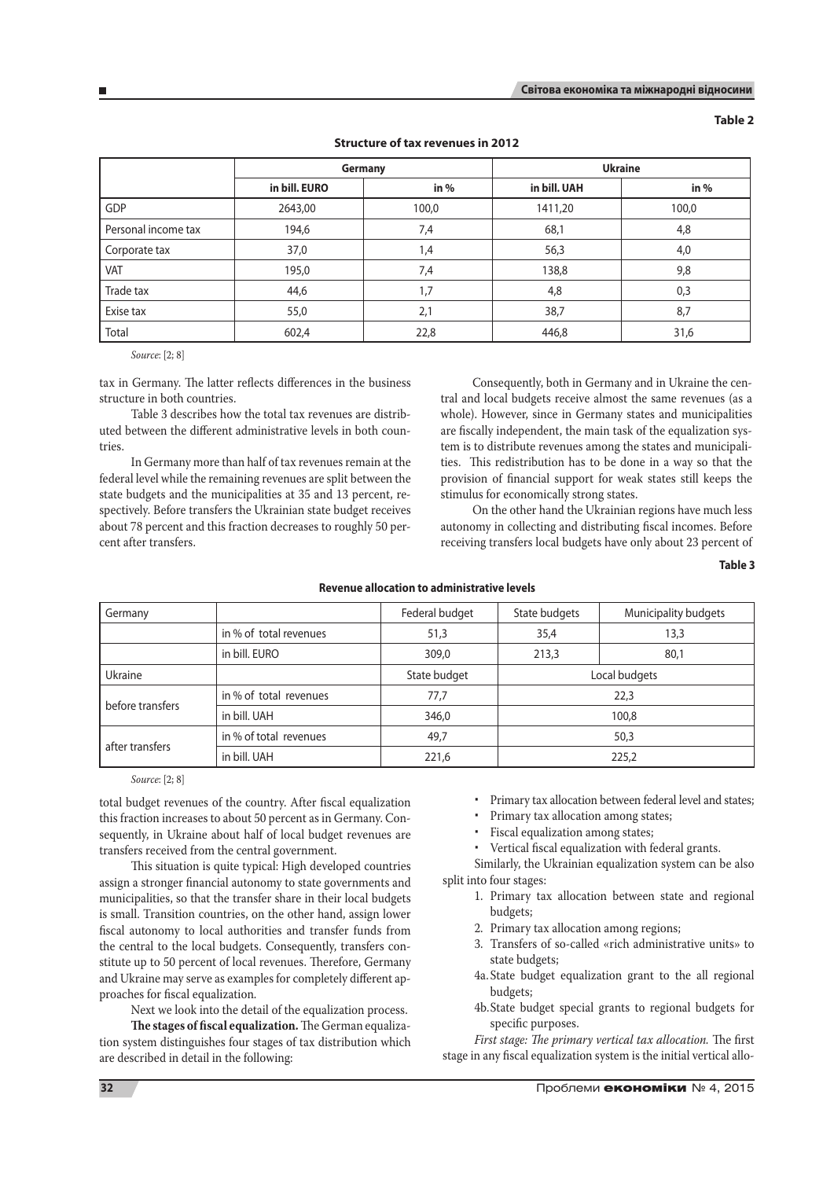| . .<br>× | v<br>×<br>٠ |  |
|----------|-------------|--|
|----------|-------------|--|

|                     |               | Germany          | <b>Ukraine</b> |        |  |  |
|---------------------|---------------|------------------|----------------|--------|--|--|
|                     | in bill. EURO | in $%$           | in bill. UAH   | in $%$ |  |  |
| GDP                 | 2643,00       | 1411,20<br>100,0 |                | 100,0  |  |  |
| Personal income tax | 194,6         | 7,4              | 68,1           | 4,8    |  |  |
| Corporate tax       | 37,0          | 1,4              | 56,3           | 4,0    |  |  |
| VAT                 | 195,0         | 7,4              | 138,8          | 9,8    |  |  |
| Trade tax           | 44,6          | 1.7              | 4,8            | 0,3    |  |  |
| Exise tax           | 55,0          | 2,1              | 38,7           | 8,7    |  |  |
| Total               | 602,4         | 22,8             | 446,8          | 31,6   |  |  |

# **Structure of tax revenues in 2012**

*Source*: [2; 8]

tax in Germany. The latter reflects differences in the business structure in both countries.

Table 3 describes how the total tax revenues are distributed between the different administrative levels in both countries.

In Germany more than half of tax revenues remain at the federal level while the remaining revenues are split between the state budgets and the municipalities at 35 and 13 percent, respectively. Before transfers the Ukrainian state budget receives about 78 percent and this fraction decreases to roughly 50 percent after transfers.

Consequently, both in Germany and in Ukraine the central and local budgets receive almost the same revenues (as a whole). However, since in Germany states and municipalities are fiscally independent, the main task of the equalization system is to distribute revenues among the states and municipalities. This redistribution has to be done in a way so that the provision of financial support for weak states still keeps the stimulus for economically strong states.

On the other hand the Ukrainian regions have much less autonomy in collecting and distributing fiscal incomes. Before receiving transfers local budgets have only about 23 percent of

**Table 3**

| Germany          |                        | Federal budget | State budgets | Municipality budgets |  |
|------------------|------------------------|----------------|---------------|----------------------|--|
|                  | in % of total revenues | 51,3           | 35,4          | 13,3                 |  |
|                  | in bill. EURO          | 309,0          | 213,3         | 80,1                 |  |
| Ukraine          |                        | State budget   | Local budgets |                      |  |
|                  | in % of total revenues | 77,7           | 22,3          |                      |  |
| before transfers | in bill. UAH           | 346,0          | 100,8         |                      |  |
|                  | in % of total revenues | 49,7           | 50,3          |                      |  |
| after transfers  | in bill. UAH           | 221,6          | 225,2         |                      |  |

# **Revenue allocation to administrative levels**

*Source*: [2; 8]

total budget revenues of the country. After fiscal equalization this fraction increases to about 50 percent as in Germany. Consequently, in Ukraine about half of local budget revenues are transfers received from the central government.

This situation is quite typical: High developed countries assign a stronger financial autonomy to state governments and municipalities, so that the transfer share in their local budgets is small. Transition countries, on the other hand, assign lower fiscal autonomy to local authorities and transfer funds from the central to the local budgets. Consequently, transfers constitute up to 50 percent of local revenues. Therefore, Germany and Ukraine may serve as examples for completely different approaches for fiscal equalization.

Next we look into the detail of the equalization process.

**The stages of fiscal equalization.** The German equalization system distinguishes four stages of tax distribution which are described in detail in the following:

- Primary tax allocation between federal level and states;
- Primary tax allocation among states;
- Fiscal equalization among states;
- Vertical fiscal equalization with federal grants.

Similarly, the Ukrainian equalization system can be also split into four stages:

- 1. Primary tax allocation between state and regional budgets;
- 2. Primary tax allocation among regions;
- 3. Transfers of so-called «rich administrative units» to state budgets;
- 4a.State budget equalization grant to the all regional budgets;
- 4b.State budget special grants to regional budgets for specific purposes.

*First stage: The primary vertical tax allocation.* The first stage in any fiscal equalization system is the initial vertical allo-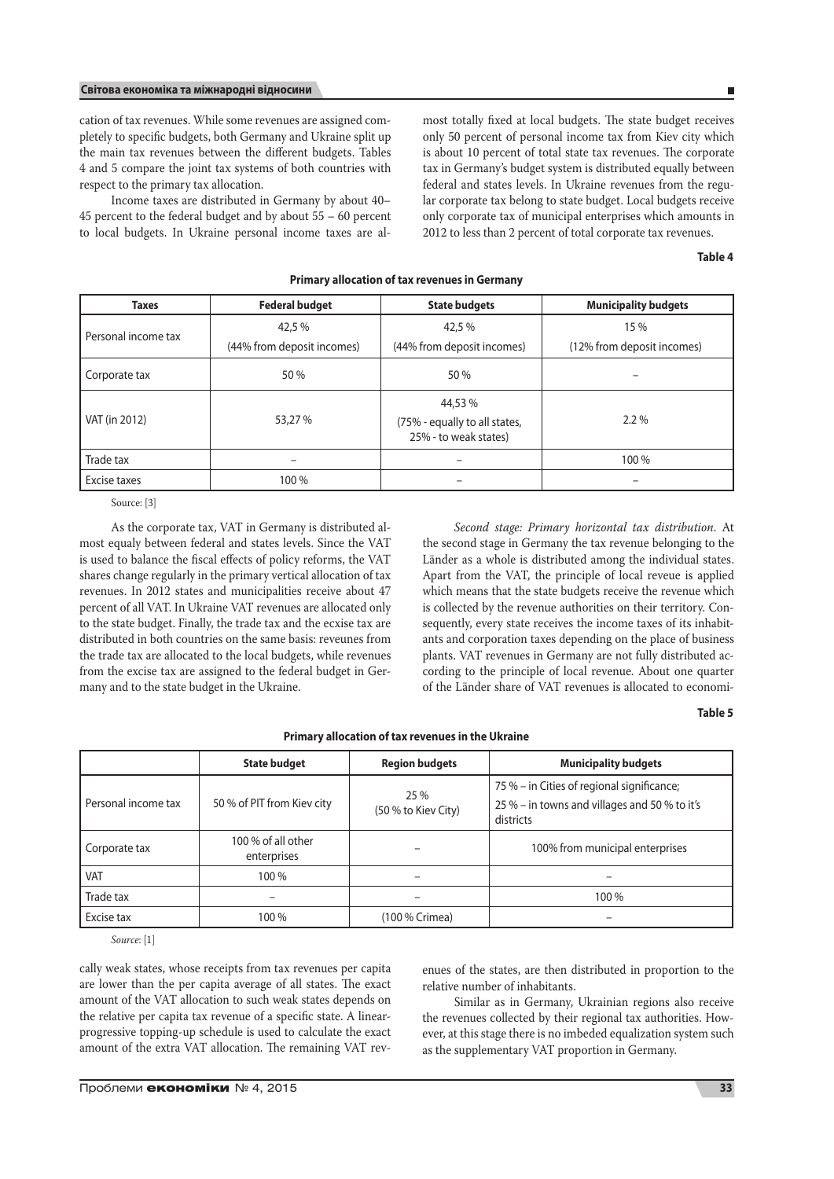# **Світова економіка та міжнародні відносини**

cation of tax revenues. While some revenues are assigned completely to specific budgets, both Germany and Ukraine split up the main tax revenues between the different budgets. Tables 4 and 5 compare the joint tax systems of both countries with respect to the primary tax allocation.

Income taxes are distributed in Germany by about 40– 45 percent to the federal budget and by about 55 – 60 percent to local budgets. In Ukraine personal income taxes are almost totally fixed at local budgets. The state budget receives only 50 percent of personal income tax from Kiev city which is about 10 percent of total state tax revenues. The corporate tax in Germany's budget system is distributed equally between federal and states levels. In Ukraine revenues from the regular corporate tax belong to state budget. Local budgets receive only corporate tax of municipal enterprises which amounts in 2012 to less than 2 percent of total corporate tax revenues.

**Table 4**

 $\mathbf{r}$ 

| <b>Taxes</b>        | <b>Federal budget</b>      | <b>State budgets</b>                                              | <b>Municipality budgets</b> |
|---------------------|----------------------------|-------------------------------------------------------------------|-----------------------------|
| Personal income tax | 42,5 %                     | 42.5 %                                                            | 15 %                        |
|                     | (44% from deposit incomes) | (44% from deposit incomes)                                        | (12% from deposit incomes)  |
| Corporate tax       | 50 %                       | 50 %                                                              |                             |
| VAT (in 2012)       | 53,27 %                    | 44,53 %<br>(75% - equally to all states,<br>25% - to weak states) | $2.2\%$                     |
| Trade tax           |                            |                                                                   | 100 %                       |
| Excise taxes        | 100 %                      | $\overline{\phantom{0}}$                                          | -                           |

**Primary allocation of tax revenues in Germany**

Source: [3]

As the corporate tax, VAT in Germany is distributed almost equaly between federal and states levels. Since the VAT is used to balance the fiscal effects of policy reforms, the VAT shares change regularly in the primary vertical allocation of tax revenues. In 2012 states and municipalities receive about 47 percent of all VAT. In Ukraine VAT revenues are allocated only to the state budget. Finally, the trade tax and the ecxise tax are distributed in both countries on the same basis: reveunes from the trade tax are allocated to the local budgets, while revenues from the excise tax are assigned to the federal budget in Germany and to the state budget in the Ukraine.

*Second stage: Primary horizontal tax distribution*. At the second stage in Germany the tax revenue belonging to the Länder as a whole is distributed among the individual states. Apart from the VAT, the principle of local reveue is applied which means that the state budgets receive the revenue which is collected by the revenue authorities on their territory. Consequently, every state receives the income taxes of its inhabitants and corporation taxes depending on the place of business plants. VAT revenues in Germany are not fully distributed according to the principle of local revenue. About one quarter of the Länder share of VAT revenues is allocated to economi-

# **Table 5**

|                     | <b>State budget</b>               | <b>Region budgets</b>       | <b>Municipality budgets</b>                                                                              |  |
|---------------------|-----------------------------------|-----------------------------|----------------------------------------------------------------------------------------------------------|--|
| Personal income tax | 50 % of PIT from Kiev city        | 25 %<br>(50 % to Kiev City) | 75 % – in Cities of regional significance;<br>25 % - in towns and villages and 50 % to it's<br>districts |  |
| Corporate tax       | 100 % of all other<br>enterprises |                             | 100% from municipal enterprises                                                                          |  |
| <b>VAT</b>          | 100 %                             |                             |                                                                                                          |  |
| Trade tax           |                                   |                             | 100 %                                                                                                    |  |
| Excise tax          | 100 %                             | (100 % Crimea)              |                                                                                                          |  |

**Primary allocation of tax revenues in the Ukraine**

*Source*: [1]

cally weak states, whose receipts from tax revenues per capita are lower than the per capita average of all states. The exact amount of the VAT allocation to such weak states depends on the relative per capita tax revenue of a specific state. A linearprogressive topping-up schedule is used to calculate the exact amount of the extra VAT allocation. The remaining VAT revenues of the states, are then distributed in proportion to the relative number of inhabitants.

Similar as in Germany, Ukrainian regions also receive the revenues collected by their regional tax authorities. However, at this stage there is no imbeded equalization system such as the supplementary VAT proportion in Germany.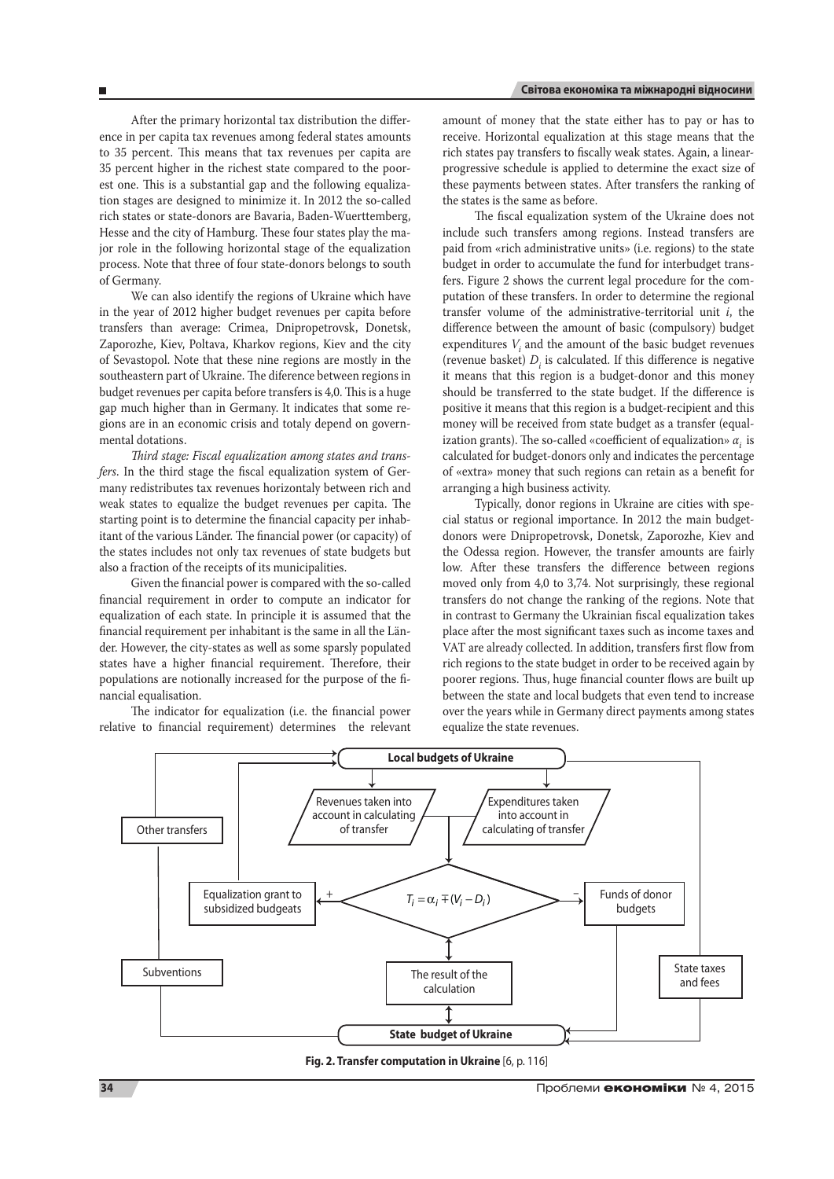After the primary horizontal tax distribution the difference in per capita tax revenues among federal states amounts to 35 percent. This means that tax revenues per capita are 35 percent higher in the richest state compared to the poorest one. This is a substantial gap and the following equalization stages are designed to minimize it. In 2012 the so-called rich states or state-donors are Bavaria, Baden-Wuerttemberg, Hesse and the city of Hamburg. These four states play the major role in the following horizontal stage of the equalization process. Note that three of four state-donors belongs to south of Germany.

We can also identify the regions of Ukraine which have in the year of 2012 higher budget revenues per capita before transfers than average: Crimea, Dnipropetrovsk, Donetsk, Zaporozhe, Kiev, Poltava, Kharkov regions, Kiev and the city of Sevastopol. Note that these nine regions are mostly in the southeastern part of Ukraine. The diference between regions in budget revenues per capita before transfers is 4,0. This is a huge gap much higher than in Germany. It indicates that some regions are in an economic crisis and totaly depend on governmental dotations.

*Third stage: Fiscal equalization among states and transfers*. In the third stage the fiscal equalization system of Germany redistributes tax revenues horizontaly between rich and weak states to equalize the budget revenues per capita. The starting point is to determine the financial capacity per inhabitant of the various Länder. The financial power (or capacity) of the states includes not only tax revenues of state budgets but also a fraction of the receipts of its municipalities.

Given the financial power is compared with the so-called financial requirement in order to compute an indicator for equalization of each state. In principle it is assumed that the financial requirement per inhabitant is the same in all the Länder. However, the city-states as well as some sparsly populated states have a higher financial requirement. Therefore, their populations are notionally increased for the purpose of the financial equalisation.

The indicator for equalization (i.e. the financial power relative to financial requirement) determines the relevant amount of money that the state either has to pay or has to receive. Horizontal equalization at this stage means that the rich states pay transfers to fiscally weak states. Again, a linearprogressive schedule is applied to determine the exact size of these payments between states. After transfers the ranking of the states is the same as before.

The fiscal equalization system of the Ukraine does not include such transfers among regions. Instead transfers are paid from «rich administrative units» (i.e. regions) to the state budget in order to accumulate the fund for interbudget transfers. Figure 2 shows the current legal procedure for the computation of these transfers. In order to determine the regional transfer volume of the administrative-territorial unit *i*, the difference between the amount of basic (compulsory) budget expenditures  $V_i$  and the amount of the basic budget revenues (revenue basket)  $D_i$  is calculated. If this difference is negative it means that this region is a budget-donor and this money should be transferred to the state budget. If the difference is positive it means that this region is a budget-recipient and this money will be received from state budget as a transfer (equalization grants). The so-called «coefficient of equalization» *αi* is calculated for budget-donors only and indicates the percentage of «extra» money that such regions can retain as a benefit for arranging a high business activity.

Typically, donor regions in Ukraine are cities with special status or regional importance. In 2012 the main budgetdonors were Dnipropetrovsk, Donetsk, Zaporozhe, Kiev and the Odessa region. However, the transfer amounts are fairly low. After these transfers the difference between regions moved only from 4,0 to 3,74. Not surprisingly, these regional transfers do not change the ranking of the regions. Note that in contrast to Germany the Ukrainian fiscal equalization takes place after the most significant taxes such as income taxes and VAT are already collected. In addition, transfers first flow from rich regions to the state budget in order to be received again by poorer regions. Thus, huge financial counter flows are built up between the state and local budgets that even tend to increase over the years while in Germany direct payments among states equalize the state revenues.



**Fig. 2. Transfer computation in Ukraine** [6, p. 116]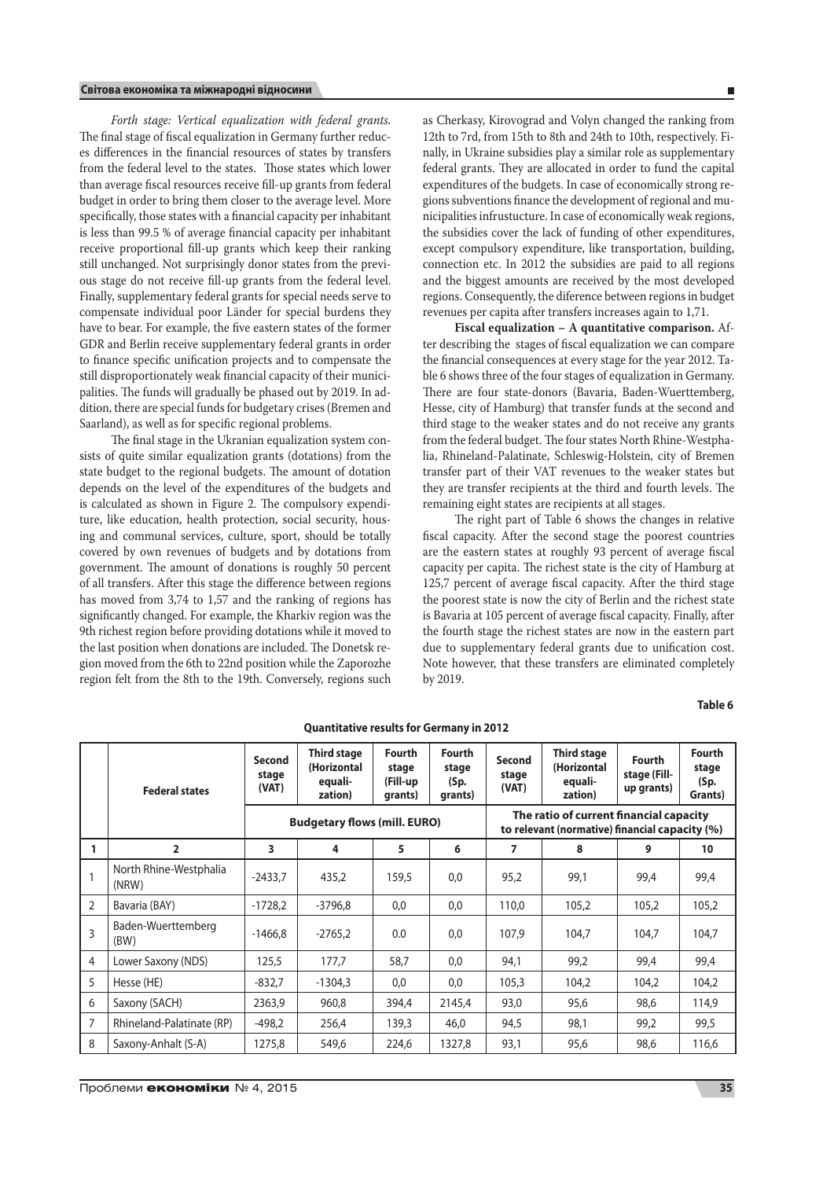*Forth stage: Vertical equalization with federal grants.* The final stage of fiscal equalization in Germany further reduces differences in the financial resources of states by transfers from the federal level to the states. Those states which lower than average fiscal resources receive fill-up grants from federal budget in order to bring them closer to the average level. More specifically, those states with a financial capacity per inhabitant is less than 99.5 % of average financial capacity per inhabitant receive proportional fill-up grants which keep their ranking still unchanged. Not surprisingly donor states from the previous stage do not receive fill-up grants from the federal level. Finally, supplementary federal grants for special needs serve to compensate individual poor Länder for special burdens they have to bear. For example, the five eastern states of the former GDR and Berlin receive supplementary federal grants in order to finance specific unification projects and to compensate the still disproportionately weak financial capacity of their municipalities. The funds will gradually be phased out by 2019. In addition, there are special funds for budgetary crises (Bremen and Saarland), as well as for specific regional problems.

The final stage in the Ukranian equalization system consists of quite similar equalization grants (dotations) from the state budget to the regional budgets. The amount of dotation depends on the level of the expenditures of the budgets and is calculated as shown in Figure 2. The compulsory expenditure, like education, health protection, social security, housing and communal services, culture, sport, should be totally covered by own revenues of budgets and by dotations from government. The amount of donations is roughly 50 percent of all transfers. After this stage the difference between regions has moved from 3,74 to 1,57 and the ranking of regions has significantly changed. For example, the Kharkiv region was the 9th richest region before providing dotations while it moved to the last position when donations are included. The Donetsk region moved from the 6th to 22nd position while the Zaporozhe region felt from the 8th to the 19th. Conversely, regions such as Cherkasy, Kirovograd and Volyn changed the ranking from 12th to 7rd, from 15th to 8th and 24th to 10th, respectively. Finally, in Ukraine subsidies play a similar role as supplementary federal grants. They are allocated in order to fund the capital expenditures of the budgets. In case of economically strong regions subventions finance the development of regional and municipalities infrustucture. In case of economically weak regions, the subsidies cover the lack of funding of other expenditures, except compulsory expenditure, like transportation, building, connection etc. In 2012 the subsidies are paid to all regions and the biggest amounts are received by the most developed regions. Consequently, the diference between regions in budget revenues per capita after transfers increases again to 1,71.

**Fiscal equalization – A quantitative comparison.** After describing the stages of fiscal equalization we can compare the financial consequences at every stage for the year 2012. Table 6 shows three of the four stages of equalization in Germany. There are four state-donors (Bavaria, Baden-Wuerttemberg, Hesse, city of Hamburg) that transfer funds at the second and third stage to the weaker states and do not receive any grants from the federal budget. The four states North Rhine-Westphalia, Rhineland-Palatinate, Schleswig-Holstein, city of Bremen transfer part of their VAT revenues to the weaker states but they are transfer recipients at the third and fourth levels. The remaining eight states are recipients at all stages.

The right part of Table 6 shows the changes in relative fiscal capacity. After the second stage the poorest countries are the eastern states at roughly 93 percent of average fiscal capacity per capita. The richest state is the city of Hamburg at 125,7 percent of average fiscal capacity. After the third stage the poorest state is now the city of Berlin and the richest state is Bavaria at 105 percent of average fiscal capacity. Finally, after the fourth stage the richest states are now in the eastern part due to supplementary federal grants due to unification cost. Note however, that these transfers are eliminated completely by 2019.

**Table 6**

|                | <b>Federal states</b>           | Second<br>stage<br>(VAT) | <b>Third stage</b><br>(Horizontal<br>equali-<br>zation) | Fourth<br>stage<br>(Fill-up<br>grants) | Fourth<br>stage<br>(Sp.<br>grants) | Second<br>stage<br>(VAT)                                                                  | <b>Third stage</b><br>(Horizontal<br>equali-<br>zation) | Fourth<br>stage (Fill-<br>up grants) | <b>Fourth</b><br>stage<br>(Sp.<br>Grants) |  |
|----------------|---------------------------------|--------------------------|---------------------------------------------------------|----------------------------------------|------------------------------------|-------------------------------------------------------------------------------------------|---------------------------------------------------------|--------------------------------------|-------------------------------------------|--|
|                |                                 |                          | <b>Budgetary flows (mill. EURO)</b>                     |                                        |                                    | The ratio of current financial capacity<br>to relevant (normative) financial capacity (%) |                                                         |                                      |                                           |  |
| 1              | $\overline{2}$                  | 3                        | 4                                                       | 5                                      | 6                                  | 7                                                                                         | 8                                                       | 9                                    | 10                                        |  |
|                | North Rhine-Westphalia<br>(NRW) | $-2433.7$                | 435,2                                                   | 159,5                                  | 0.0                                | 95,2                                                                                      | 99,1                                                    | 99.4                                 | 99,4                                      |  |
| $\overline{2}$ | Bavaria (BAY)                   | $-1728,2$                | $-3796,8$                                               | 0,0                                    | 0,0                                | 110,0                                                                                     | 105,2                                                   | 105,2                                | 105,2                                     |  |
| 3              | Baden-Wuerttemberg<br>(BW)      | $-1466.8$                | $-2765,2$                                               | 0.0                                    | 0.0                                | 107.9                                                                                     | 104.7                                                   | 104.7                                | 104.7                                     |  |
| $\overline{4}$ | Lower Saxony (NDS)              | 125,5                    | 177,7                                                   | 58,7                                   | 0.0                                | 94,1                                                                                      | 99,2                                                    | 99,4                                 | 99,4                                      |  |
| 5              | Hesse (HE)                      | $-832,7$                 | $-1304.3$                                               | 0,0                                    | 0,0                                | 105,3                                                                                     | 104,2                                                   | 104,2                                | 104,2                                     |  |
| 6              | Saxony (SACH)                   | 2363,9                   | 960,8                                                   | 394,4                                  | 2145,4                             | 93,0                                                                                      | 95,6                                                    | 98,6                                 | 114,9                                     |  |
| $\overline{7}$ | Rhineland-Palatinate (RP)       | $-498,2$                 | 256,4                                                   | 139,3                                  | 46,0                               | 94,5                                                                                      | 98,1                                                    | 99,2                                 | 99,5                                      |  |
| 8              | Saxony-Anhalt (S-A)             | 1275,8                   | 549,6                                                   | 224,6                                  | 1327,8                             | 93,1                                                                                      | 95,6                                                    | 98,6                                 | 116,6                                     |  |

# **Quantitative results for Germany in 2012**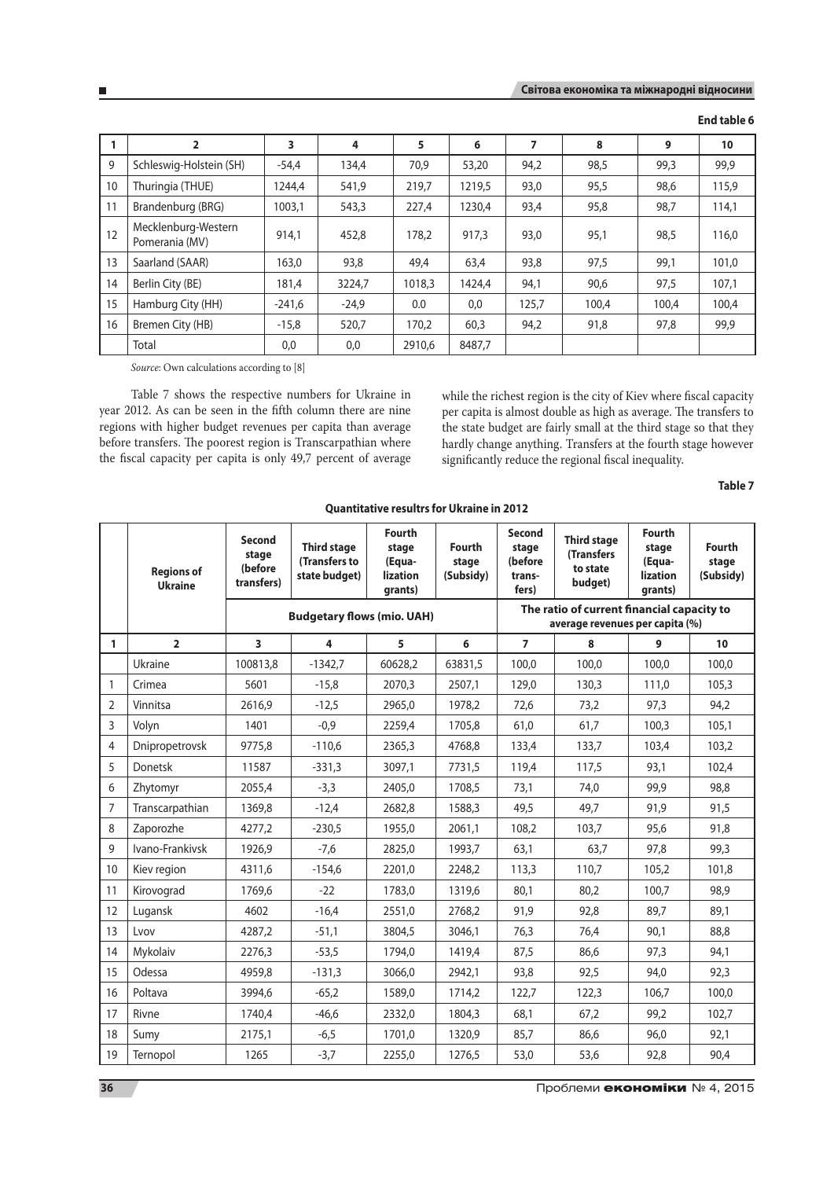|    |                                       | 3        | 4       | 5      | 6      |       | 8     | 9     | 10    |
|----|---------------------------------------|----------|---------|--------|--------|-------|-------|-------|-------|
| 9  | Schleswig-Holstein (SH)               | $-54,4$  | 134,4   | 70,9   | 53,20  | 94,2  | 98,5  | 99,3  | 99,9  |
| 10 | Thuringia (THUE)                      | 1244.4   | 541,9   | 219,7  | 1219.5 | 93,0  | 95,5  | 98,6  | 115,9 |
| 11 | Brandenburg (BRG)                     | 1003,1   | 543,3   | 227,4  | 1230,4 | 93,4  | 95,8  | 98,7  | 114,1 |
| 12 | Mecklenburg-Western<br>Pomerania (MV) | 914.1    | 452,8   | 178.2  | 917.3  | 93,0  | 95.1  | 98.5  | 116,0 |
| 13 | Saarland (SAAR)                       | 163,0    | 93,8    | 49,4   | 63,4   | 93,8  | 97,5  | 99,1  | 101.0 |
| 14 | Berlin City (BE)                      | 181,4    | 3224,7  | 1018,3 | 1424,4 | 94,1  | 90,6  | 97,5  | 107.1 |
| 15 | Hamburg City (HH)                     | $-241.6$ | $-24.9$ | 0.0    | 0,0    | 125.7 | 100.4 | 100.4 | 100,4 |

16 Bremen City (HB) | -15,8 | 520,7 | 170,2 | 60,3 | 94,2 | 91,8 | 97,8 | 99,9

**End table 6**

*Source*: Own calculations according to [8]

Table 7 shows the respective numbers for Ukraine in year 2012. As can be seen in the fifth column there are nine regions with higher budget revenues per capita than average before transfers. The poorest region is Transcarpathian where the fiscal capacity per capita is only 49,7 percent of average

Total 0,0 0,0 2910,6 8487,7

while the richest region is the city of Kiev where fiscal capacity per capita is almost double as high as average. The transfers to the state budget are fairly small at the third stage so that they hardly change anything. Transfers at the fourth stage however significantly reduce the regional fiscal inequality.

**Table 7**

|                | <b>Regions of</b><br><b>Ukraine</b> | Second<br>stage<br>(before<br>transfers) | <b>Third stage</b><br>(Transfers to<br>state budget) | <b>Fourth</b><br>stage<br>(Equa-<br><b>lization</b><br>grants) | <b>Fourth</b><br>stage<br>(Subsidy) | <b>Second</b><br>stage<br>(before<br>trans-<br>fers) | <b>Third stage</b><br><b>(Transfers</b><br>to state<br>budget)                | <b>Fourth</b><br>stage<br>(Equa-<br><b>lization</b><br>grants) | Fourth<br>stage<br>(Subsidy) |
|----------------|-------------------------------------|------------------------------------------|------------------------------------------------------|----------------------------------------------------------------|-------------------------------------|------------------------------------------------------|-------------------------------------------------------------------------------|----------------------------------------------------------------|------------------------------|
|                |                                     |                                          | <b>Budgetary flows (mio. UAH)</b>                    |                                                                |                                     |                                                      | The ratio of current financial capacity to<br>average revenues per capita (%) |                                                                |                              |
| 1              | $\overline{2}$                      | 3                                        | 4                                                    | 5                                                              | 6                                   | $\overline{7}$                                       | 8                                                                             | 9                                                              | 10 <sup>1</sup>              |
|                | Ukraine                             | 100813,8                                 | $-1342,7$                                            | 60628,2                                                        | 63831,5                             | 100,0                                                | 100,0                                                                         | 100,0                                                          | 100,0                        |
| $\mathbf{1}$   | Crimea                              | 5601                                     | $-15,8$                                              | 2070.3                                                         | 2507.1                              | 129,0                                                | 130,3                                                                         | 111.0                                                          | 105,3                        |
| $\overline{2}$ | Vinnitsa                            | 2616,9                                   | $-12,5$                                              | 2965,0                                                         | 1978,2                              | 72,6                                                 | 73,2                                                                          | 97,3                                                           | 94,2                         |
| 3              | Volyn                               | 1401                                     | $-0,9$                                               | 2259,4                                                         | 1705,8                              | 61,0                                                 | 61.7                                                                          | 100,3                                                          | 105,1                        |
| 4              | Dnipropetrovsk                      | 9775,8                                   | $-110,6$                                             | 2365,3                                                         | 4768,8                              | 133,4                                                | 133,7                                                                         | 103,4                                                          | 103,2                        |
| 5              | Donetsk                             | 11587                                    | $-331,3$                                             | 3097,1                                                         | 7731,5                              | 119,4                                                | 117,5                                                                         | 93,1                                                           | 102,4                        |
| 6              | Zhytomyr                            | 2055,4                                   | $-3,3$                                               | 2405.0                                                         | 1708,5                              | 73,1                                                 | 74,0                                                                          | 99,9                                                           | 98,8                         |
| 7              | Transcarpathian                     | 1369,8                                   | $-12,4$                                              | 2682,8                                                         | 1588,3                              | 49,5                                                 | 49,7                                                                          | 91,9                                                           | 91,5                         |
| 8              | Zaporozhe                           | 4277,2                                   | $-230,5$                                             | 1955,0                                                         | 2061,1                              | 108,2                                                | 103,7                                                                         | 95,6                                                           | 91,8                         |
| 9              | Ivano-Frankivsk                     | 1926.9                                   | $-7.6$                                               | 2825,0                                                         | 1993.7                              | 63,1                                                 | 63.7                                                                          | 97,8                                                           | 99,3                         |
| 10             | Kiev region                         | 4311,6                                   | $-154,6$                                             | 2201,0                                                         | 2248,2                              | 113,3                                                | 110,7                                                                         | 105,2                                                          | 101,8                        |
| 11             | Kirovograd                          | 1769,6                                   | $-22$                                                | 1783,0                                                         | 1319,6                              | 80,1                                                 | 80,2                                                                          | 100,7                                                          | 98,9                         |
| 12             | Lugansk                             | 4602                                     | $-16,4$                                              | 2551,0                                                         | 2768,2                              | 91,9                                                 | 92,8                                                                          | 89,7                                                           | 89,1                         |
| 13             | Lvov                                | 4287,2                                   | $-51,1$                                              | 3804,5                                                         | 3046,1                              | 76,3                                                 | 76,4                                                                          | 90,1                                                           | 88,8                         |
| 14             | Mykolaiv                            | 2276,3                                   | $-53,5$                                              | 1794,0                                                         | 1419,4                              | 87,5                                                 | 86.6                                                                          | 97,3                                                           | 94,1                         |
| 15             | Odessa                              | 4959,8                                   | $-131,3$                                             | 3066,0                                                         | 2942,1                              | 93,8                                                 | 92,5                                                                          | 94,0                                                           | 92,3                         |
| 16             | Poltava                             | 3994,6                                   | $-65,2$                                              | 1589,0                                                         | 1714,2                              | 122,7                                                | 122,3                                                                         | 106,7                                                          | 100,0                        |
| 17             | Rivne                               | 1740.4                                   | $-46,6$                                              | 2332,0                                                         | 1804,3                              | 68.1                                                 | 67,2                                                                          | 99,2                                                           | 102.7                        |
| 18             | Sumy                                | 2175,1                                   | $-6,5$                                               | 1701,0                                                         | 1320,9                              | 85,7                                                 | 86,6                                                                          | 96,0                                                           | 92,1                         |
| 19             | Ternopol                            | 1265                                     | $-3,7$                                               | 2255,0                                                         | 1276,5                              | 53,0                                                 | 53,6                                                                          | 92,8                                                           | 90,4                         |

**Quantitative resultrs for Ukraine in 2012**

**36** Проблеми **економіки** № 4, 2015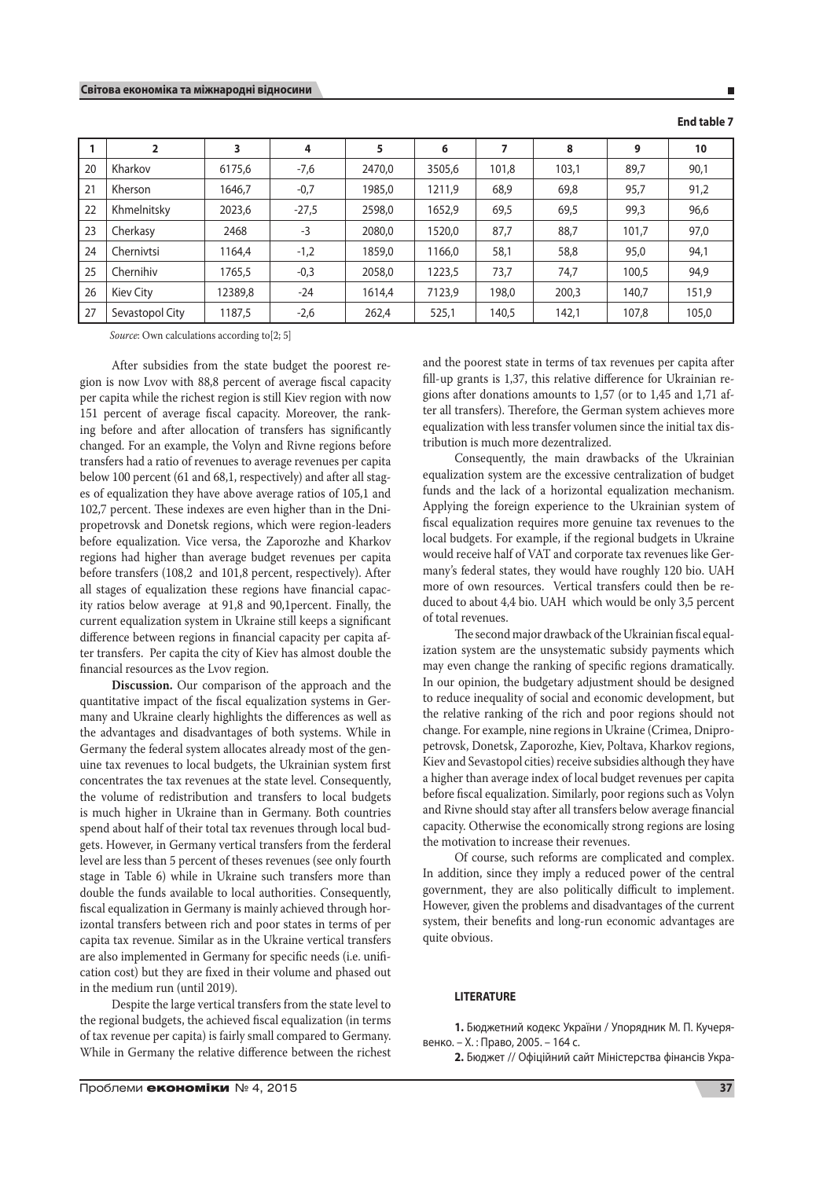### **Світова економіка та міжнародні відносини**

### **End table 7**

Ē

|    | 2               | 3       | 4       | 5      | 6      |       | 8     | 9     | 10    |
|----|-----------------|---------|---------|--------|--------|-------|-------|-------|-------|
| 20 | Kharkov         | 6175,6  | $-7,6$  | 2470.0 | 3505,6 | 101,8 | 103,1 | 89,7  | 90,1  |
| 21 | Kherson         | 1646.7  | $-0,7$  | 1985.0 | 1211,9 | 68,9  | 69,8  | 95,7  | 91,2  |
| 22 | Khmelnitsky     | 2023,6  | $-27,5$ | 2598,0 | 1652,9 | 69,5  | 69,5  | 99,3  | 96,6  |
| 23 | Cherkasy        | 2468    | $-3$    | 2080,0 | 1520,0 | 87,7  | 88,7  | 101,7 | 97,0  |
| 24 | Chernivtsi      | 1164.4  | $-1,2$  | 1859,0 | 1166,0 | 58,1  | 58,8  | 95,0  | 94,1  |
| 25 | Chernihiv       | 1765,5  | $-0,3$  | 2058,0 | 1223,5 | 73,7  | 74,7  | 100,5 | 94,9  |
| 26 | Kiev City       | 12389,8 | $-24$   | 1614,4 | 7123,9 | 198,0 | 200,3 | 140,7 | 151,9 |
| 27 | Sevastopol City | 1187,5  | $-2,6$  | 262,4  | 525,1  | 140,5 | 142,1 | 107,8 | 105,0 |

*Source*: Own calculations according to[2; 5]

After subsidies from the state budget the poorest region is now Lvov with 88,8 percent of average fiscal capacity per capita while the richest region is still Kiev region with now 151 percent of average fiscal capacity. Moreover, the ranking before and after allocation of transfers has significantly changed. For an example, the Volyn and Rivne regions before transfers had a ratio of revenues to average revenues per capita below 100 percent (61 and 68,1, respectively) and after all stages of equalization they have above average ratios of 105,1 and 102,7 percent. These indexes are even higher than in the Dnipropetrovsk and Donetsk regions, which were region-leaders before equalization. Vice versa, the Zaporozhe and Kharkov regions had higher than average budget revenues per capita before transfers (108,2 and 101,8 percent, respectively). After all stages of equalization these regions have financial capacity ratios below average at 91,8 and 90,1percent. Finally, the current equalization system in Ukraine still keeps a significant difference between regions in financial capacity per capita after transfers. Per capita the city of Kiev has almost double the financial resources as the Lvov region.

**Discussion.** Our comparison of the approach and the quantitative impact of the fiscal equalization systems in Germany and Ukraine clearly highlights the differences as well as the advantages and disadvantages of both systems. While in Germany the federal system allocates already most of the genuine tax revenues to local budgets, the Ukrainian system first concentrates the tax revenues at the state level. Consequently, the volume of redistribution and transfers to local budgets is much higher in Ukraine than in Germany. Both countries spend about half of their total tax revenues through local budgets. However, in Germany vertical transfers from the ferderal level are less than 5 percent of theses revenues (see only fourth stage in Table 6) while in Ukraine such transfers more than double the funds available to local authorities. Consequently, fiscal equalization in Germany is mainly achieved through horizontal transfers between rich and poor states in terms of per capita tax revenue. Similar as in the Ukraine vertical transfers are also implemented in Germany for specific needs (i.e. unification cost) but they are fixed in their volume and phased out in the medium run (until 2019).

Despite the large vertical transfers from the state level to the regional budgets, the achieved fiscal equalization (in terms of tax revenue per capita) is fairly small compared to Germany. While in Germany the relative difference between the richest

and the poorest state in terms of tax revenues per capita after fill-up grants is 1,37, this relative difference for Ukrainian regions after donations amounts to 1,57 (or to 1,45 and 1,71 after all transfers). Therefore, the German system achieves more equalization with less transfer volumen since the initial tax distribution is much more dezentralized.

Consequently, the main drawbacks of the Ukrainian equalization system are the excessive centralization of budget funds and the lack of a horizontal equalization mechanism. Applying the foreign experience to the Ukrainian system of fiscal equalization requires more genuine tax revenues to the local budgets. For example, if the regional budgets in Ukraine would receive half of VAT and corporate tax revenues like Germany's federal states, they would have roughly 120 bio. UAH more of own resources. Vertical transfers could then be reduced to about 4,4 bio. UAH which would be only 3,5 percent of total revenues.

The second major drawback of the Ukrainian fiscal equalization system are the unsystematic subsidy payments which may even change the ranking of specific regions dramatically. In our opinion, the budgetary adjustment should be designed to reduce inequality of social and economic development, but the relative ranking of the rich and poor regions should not change. For example, nine regions in Ukraine (Crimea, Dnipropetrovsk, Donetsk, Zaporozhe, Kiev, Poltava, Kharkov regions, Kiev and Sevastopol cities) receive subsidies although they have a higher than average index of local budget revenues per capita before fiscal equalization. Similarly, poor regions such as Volyn and Rivne should stay after all transfers below average financial capacity. Otherwise the economically strong regions are losing the motivation to increase their revenues.

Of course, such reforms are complicated and complex. In addition, since they imply a reduced power of the central government, they are also politically difficult to implement. However, given the problems and disadvantages of the current system, their benefits and long-run economic advantages are quite obvious.

### **LITERATURE**

**1.** Бюджетний кодекс України / Упорядник М. П. Кучерявенко. – Х. : Право, 2005. – 164 с.

**2.** Бюджет // Офіційний сайт Міністерства фінансів Укра-